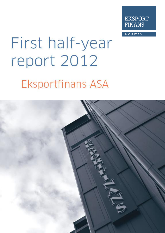

**NORWAY** 

# First half-year report 2012 **Eksportfinans ASA**

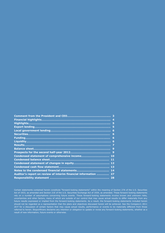|                                                                 | 4  |
|-----------------------------------------------------------------|----|
|                                                                 | 5  |
|                                                                 | 5  |
|                                                                 | 6  |
|                                                                 | 6  |
|                                                                 | 6  |
|                                                                 | -6 |
|                                                                 | 7  |
|                                                                 | 9  |
|                                                                 |    |
| Condensed statement of comprehensive income 10                  |    |
|                                                                 |    |
|                                                                 |    |
|                                                                 |    |
|                                                                 |    |
| Auditor's report on review of interim financial information  27 |    |
|                                                                 |    |

Certain statements contained herein constitute "forward-looking statements" within the meaning of Section 27A of the U.S. Securities Act of 1933, as amended and Section 21E of the U.S. Securities Exchange Act of 1934, as amended. These forward-looking statements rely on a number of assumptions concerning future events. These forward-looking statements involve known and unknown risks, uncertainties and other factors, many of which are outside of our control that may cause actual results to differ materially from any future results expressed or implied from the forward-looking statements. As a result, the forward-looking statements included herein should not be regarded as a representation that the plans and objectives discussed herein will be achieved. See the Company's 2011 20-F for a discussion of certain factors that may cause actual results, performance or events to be materially different from those referred to herein. Eksportfinans disclaims any intention or obligation to update or revise any forward-looking statements, whether as a result of new information, future events or otherwise.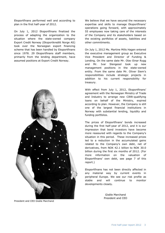Eksportfinans performed well and according to plan in the first half-year of 2012.

On July 1, 2012 Eksportfinans finalized the process of adapting the organization to the situation where the state-owned company Export Credit Norway (Eksportkreditt Norge AS) took over the Norwegian export financing scheme that has been handled by Eksportfinans since 1978. 29 Eksportfinans staff members, primarily from the lending department, have assumed positions at Export Credit Norway.



President and CEO Gisèle Marchand

We believe that we have secured the necessary expertise and skills to manage Eksportfinans' operations going forward, with approximately 55 employees now taking care of the interests of the Company and its stakeholders based on the existing portfolios of assets, liabilities and other commitments.

On July 1, 2012 Ms. Martine Mills Hagen entered the executive management group as Executive Vice President and Director of Funding & Lending. On the same date Mr. Olav Einar Rygg and Mr. Ivar Slengesol took up new management positions in the state-owned entity. From the same date Mr. Oliver Siem's responsibilities include strategic projects in addition to his current responsibility for treasury.

With effect from July 1, 2012, Eksportfinans' agreement with the Norwegian Ministry of Trade and Industry to arrange new CIRR-qualifying loans on behalf of the Ministry, expired according to plan. However, the Company is still one of the largest financial institutions in Norway with substantial lending, liquidity and funding portfolios.

The prices of Eksportfinans' bonds increased during the first half-year of 2012, and it is our impression that bond investors have become more reassured with regards to the Company's situation in this period. These increased prices led to a reduction in the accumulated gains related to the Company's own debt, net of derivatives, from NOK 42.1 billion to NOK 30.0 billion during the first six months of 2012. (For more information on the valuation of Eksportfinans' own debt, see page 7 of this report.)

Eksportfinans has not been directly affected in any material way by current events in peripheral Europe. We see our risk profile as stable and will continue to monitor developments closely.

> Gisèle Marchand President and CEO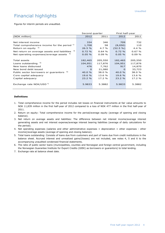# Financial highlights

Figures for interim periods are unaudited.

|                                                    | Second quarter |         | First half-year |         |  |
|----------------------------------------------------|----------------|---------|-----------------|---------|--|
| (NOK million)                                      | 2012           | 2011    | 2012            | 2011    |  |
|                                                    |                |         |                 |         |  |
| Net interest income                                | 334            | 346     | 709             | 732     |  |
| Total comprehensive income for the period 1)       | 1,708          | 58      | (8,050)         | 110     |  |
| Return on equity $2$                               | 26.5%          | 4.7%    | $(52.5\% )$     | 4.4%    |  |
| 3)<br>Net return on average assets and liabilities | 0.72%          | 0.64%   | 0.72%           | 0.67%   |  |
| Net operating expenses/average assets $4)$         | 0.05%          | 0.09%   | $0.05 \%$       | 0.09%   |  |
|                                                    |                |         |                 |         |  |
| <b>Total assets</b>                                | 182,465        | 205,550 | 182,465         | 205,550 |  |
| Loans outstanding 5)                               | 104,951        | 117,876 | 104,951         | 117,876 |  |
| New loans disbursed                                | 476            | 7,762   | 917             | 14,870  |  |
| New bond debt issued                               | $\Omega$       | 21,080  | 0               | 33,723  |  |
| 6)<br>Public sector borrowers or quarantors        | 40.0 %         | 38.0 %  | 40.0 %          | 38.0 %  |  |
| Core capital adequacy                              | 19.6 %         | 13.6 %  | 19.6 %          | 13.6 %  |  |
| Capital adequacy                                   | 23.2%          | 17.2 %  | 23.2%           | 17.2 %  |  |
| Exchange rate NOK/USD <sup>7)</sup>                | 5.9833         | 5.3882  | 5.9833          | 5.3882  |  |

#### **Definitions**

- 1.Total comprehensive income for the period includes net losses on financial instruments at fair value amounts to NOK 11,839 million in the first half-year of 2012 compared to a loss of NOK 477 million in the first half-year of 2011.
- 2. Return on equity: Total comprehensive income for the period/average equity (average of opening and closing balance).
- 3. Net return on average assets and liabilities: The difference between net interest income/average interest generating assets and net interest expense/average interest bearing liabilities (average of daily calculations for the period).
- 4. Net operating expenses (salaries and other administrative expenses + depreciation + other expenses other income)/average assets (average of opening and closing balance).
- 5. Total loans outstanding: Consists of loans due from customers and part of loans due from credit institutions in the balance sheet. Accrued interest and unrealized gains/(losses) are not included, see notes 4, 5 and 6 to the accompanying unaudited condensed financial statements.
- 6. The ratio of public sector loans (municipalities, counties and Norwegian and foreign central government, including the Norwegian Guarantee Institute for Export Credits (GIEK) as borrowers or guarantors) to total lending.
- 7. Exchange rate at balance sheet date.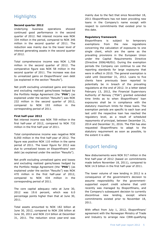# **Highlights**

#### **Second quarter 2012**

Underlying business operations showed continued good performance in the second quarter of 2012. Net interest income was NOK 334 million in the period, compared to NOK 346 million in the second quarter of 2011. The reduction was mainly due to the lower level of interest generating assets in the second quarter of 2012.

Total comprehensive income was NOK 1,708 million in the second quarter of 2012. The comparative figure was NOK 58 million in the second quarter of 2011. The increase was due to unrealized gains on Eksportfinans' own debt (as explained in the section "Results").

Net profit excluding unrealized gains and losses and excluding realized gains/losses hedged by the Portfolio Hedge Agreement (the "**PHA**") (as explained under the section "Results") was NOK 232 million in the second quarter of 2012, compared to NOK 193 million in the corresponding period of 2011.

#### **First half-year 2012**

Net interest income was NOK 709 million in the first half-year of 2012, compared to NOK 732 million in the first half-year of 2011.

Total comprehensive income was negative NOK 8,050 million in the first half-year of 2012. The figure was positive NOK 110 million in the same period of 2011. The lower figure for 2012 was due to unrealized losses on Eksportfinans' own debt (as explained under the section "Results").

Net profit excluding unrealized gains and losses and excluding realized gains/losses hedged by the Portfolio Hedge Agreement (the "**PHA**") (as explained under the section "Results") was NOK 470 million in the first half-year of 2012, compared to NOK 434 million in the corresponding period of 2011.

The core capital adequacy ratio at June 30, 2012 was 19.6 percent, which was 6.0 percentage points higher than that at June 30, 2011.

Total assets amounted to NOK 182 billion at June 30, 2012, compared to NOK 206 billion at June 30, 2011 and NOK 214 billion at December 31, 2011. The reduction since year-end was

mainly due to the fact that since November 18, 2011 Eksportfinans has not been providing new loans in the Company's name except with respect to commitments that existed prior to this date.

#### **Regulatory framework**

Eksportfinans is subject to temporary exemptions from the new regulations concerning the calculation of exposures to one single client, which are the same as the prevailing provisions in the European Union under the Capital Requirements Directive (Directive 2006/48/EU). During the exemption periods the Company can continue to use the reporting standards for large exposures that were in effect in 2010. The general exemption is valid until December 31, 2012. Loans to five clients have previously been reported to potentially be in breach of the prevailing regulations at the end of 2012. In a letter dated February 13, 2012, the Financial Supervisory Authority of Norway ("FSA") granted extended time limits as to when Eksportfinans' loan exposures shall be in compliance with the statutory maximum limits for these loans. The exemption periods are specific to each loan and last until the respective loan has reached the regulatory level, as a result of scheduled repayments of principal, between December 31, 2014 and December 31, 2016. The FSA has also requested Eksportfinans to adapt to the statutory requirement as soon as possible, to the extent it is able.

# Export lending

New disbursements were NOK 917 million in the first half-year of 2012 (based on commitments made before November 18, 2011), compared to NOK 14.9 billion in the first half-year of 2011.

The lower volume of new lending in 2012 is a consequence of the government's decision to assume responsibility for the governmentsupported export credit scheme that until recently was managed by Eksportfinans, and the Company's subsequent decision to currently discontinue new lending, except where commitments existed prior to November 18, 2011.

With effect from July 1, 2012, Eksportfinans' agreement with the Norwegian Ministry of Trade and Industry to arrange new CIRR-qualifying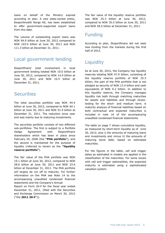loans on behalf of the Ministry expired according to plan. A new state-owned entity, Eksportkreditt Norge AS, has been established to offer government-supported export loans from this date.

The volume of outstanding export loans was NOK 94.9 billion at June 30, 2012 compared to NOK 103.0 billion at June 30, 2011 and NOK 111.3 billion at December 31, 2011.

# Local government lending

Eksportfinans' total involvement in local government lending totaled NOK 10.0 billion at June 30, 2012, compared to NOK 14.9 billion at June 30, 2011 and NOK 10.5 billion at December 31, 2011.

## **Securities**

The total securities portfolio was NOK 44.4 billion at June 30, 2012, compared to NOK 64.1 billion at June 30, 2011 and NOK 51.9 billion at December 31, 2011. The reduction since year end was mainly due to maturing investments.

The securities portfolio consists of two different sub-portfolios. The first is subject to a Portfolio Hedge Agreement with Eksportfinans shareholders which has been in place since February 29, 2008 (the **"PHA portfolio"**), and the second is maintained for the purpose of liquidity (referred to herein as the **"liquidity reserve portfolio"**).

The fair value of the PHA portfolio was NOK 19.1 billion at June 30, 2012, compared to NOK 28.6 billion at June 30, 2011 and NOK 23.4 billion at December 31, 2011. The PHA portfolio will largely be run off to maturity. For further information on the PHA see Note 14 to the accompanying unaudited condensed financial statements and the Company's Annual

Report on Form 20-F for the fiscal year ended December 31, 2011, (filed with the Securities and Exchange Commission on March 30, 2012 ("the **2011 20-F**")).

The fair value of the liquidity reserve portfolio was NOK 25.3 billion at June 30, 2012, compared to NOK 35.5 billion at June 30, 2011 and NOK 28.5 billion at December 31, 2011.

# Funding

According to plan, Eksportfinans did not seek new funding from the markets during the first half of 2012.

# **Liquidity**

As at June 30, 2012, the Company has liquidity reserves totaling NOK 47.9 billion, consisting of the liquidity reserve portfolio of NOK 25.3 billion, the part of the PHA portfolio that is not pledged as security of NOK 13.4 billion and cash equivalents of NOK 9.2 billion. In addition to this liquidity reserve, the Company manages liquidity risk both through matching maturities for assets and liabilities and through stresstesting for the short- and medium term. A maturity analysis of financial liabilities based on both contractual and expected maturities is included in note 16 of the accompanying unaudited condensed financial statements.

The table on page 7 shows cumulative liquidity, as measured by short-term liquidity as of June 30, 2012, plus i) the amounts of maturing loans and investments and minus ii) the amounts of maturing bond debt, based on estimated maturities.

For the figures in the table, call and trigger dates as estimated in models are applied in the classification of the maturities. For some issues with call and trigger optionalities, the expected maturity is estimated using a sophisticated valuation system.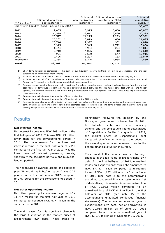|               |                                                                | Estimated        | Estimated long-term    | Estimated               |
|---------------|----------------------------------------------------------------|------------------|------------------------|-------------------------|
|               | Estimated long-term                                            | loan receivables | investments (PHA)      | cumulative              |
| (NOK million) | debt maturing $4$ )                                            | maturing $5$     | maturing <sup>6)</sup> | liquidity $\frac{7}{2}$ |
|               | Short-term liquidity (actual) at June 30, 2012 <sup>1</sup> ): |                  |                        | 33,687                  |
| 2012          | 12,435                                                         | 13,975           | 5,660                  | 40,887                  |
| 2013          | 36,599                                                         | 2)<br>22,671     | 3,436                  | 30,395                  |
| 2014          | 20,577                                                         | 21,275           | 2,299                  | 33,392                  |
| 2015          | 26,202                                                         | 3)<br>13,819     | 686                    | 21,695                  |
| 2016          | 20,746                                                         | 12,997           | 932                    | 14,878                  |
| 2017          | 8,915                                                          | 5,345            | 1,722                  | 13,030                  |
| 2018          | 1,444                                                          | 3,934            | 294                    | 15,814                  |
| 2019          | 2,710                                                          | 4,096            | 410                    | 17,610                  |
| 2020          | 921                                                            | 2,680            | 547                    | 19,916                  |
| 2021          | 2,406                                                          | 1,207            | 153                    | 18,870                  |
| Thereafter    | 19,254                                                         | 3,246            | 4,988                  | 7,850                   |
| Total         | 152,209                                                        | 105,245          | 21,127                 |                         |

- 1) Short-term liquidity is comprised of the sum of our Liquidity Reserve Portfolio (at fair value), deposits and principal outstanding of commercial paper funding
- 2) Includes the principal of GBP 50 million Capital Contribution Securities, which are redeemable from February 19, 2013
- 3) Includes the principal of JPY 50 million subordinated debt maturing in 2015. This debt is categorized as supplementary capital (lower tier II) according to the Norwegian capital adequacy regulations
- 4) Principal amount outstanding of own debt securities. The column includes single- and multi-callable issues. Includes principal cash flows of derivatives economically hedging structured bond debt. For the structured bond debt with call and trigger options, the expected maturity is estimated using a sophisticated valuation system. The actual maturities might differ from these estimations
- 5) Represents principal amount outstanding of loan receivables<br>6) Represents principal amount outstanding of investments in the
- 6) Represents principal amount outstanding of investments in the PHA portfolio
- 7) Represents estimated cumulative liquidity at year-end (calculated as the amount at prior period end minus estimated longterm investments maturing during period plus estimated loans receivable and long-term investments maturing during the period) except for the first row which states the actual liquidity at June 30, 2012

#### **Results**

#### **Net interest income**

Net interest income was NOK 709 million in the first half-year of 2012. This was NOK 23 million lower than for the corresponding period in 2011. The main reason for the lower net interest income in the first half-year of 2012 compared to the first half-year of 2011, was the lower level of interest generating assets, specifically the securities portfolio and municipal lending portfolio.

The net return on average assets and liabilities (see "Financial highlights" on page 4) was 0.72 percent in the first half-year of 2012, compared to 0.67 percent for the corresponding period in 2011.

#### **Net other operating income**

Net other operating income was negative NOK 11,787 million for the first half-year of 2012 compared to negative NOK 477 million in the same period in 2011.

The main reason for this significant change is the large fluctuation in the market prices of Eksportfinans' own debt. These prices fell

significantly following the decision by the Norwegian government on November 18, 2011 to establish a state-funded export financing scheme and the consequent rating downgrades of Eksportfinans. In the first quarter of 2012, the market prices of Eksportfinans' debt increased significantly, whereas the prices in the second quarter have decreased, due to the general financial situation in Europe.

These market fluctuations have led to large changes in the fair value of Eksportfinans' own debt. In the first half-year of 2012, unrealized losses on Eksportfinans' own debt amounted to NOK 17,457 million compared to unrealized losses of NOK 1,157 million in the first half-year of 2011 (see note 2 to the accompanying unaudited condensed financial statements). Net of derivatives, this resulted in an unrealized loss of NOK 12,032 million compared to an unrealized loss of NOK 449 million in the first half-year of 2011 (see note 15 to the accompanying unaudited condensed financial statements). The cumulative unrealized gain on Eksportfinans' own debt, net of derivatives, is NOK 30,038 million as of June 30, 2012 compared to a cumulative unrealized gain of NOK 42,070 million as of December 31, 2011.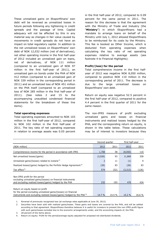These unrealized gains on Eksportfinans' own debt will be reversed as unrealized losses in future periods following any tightening in credit spreads and the passage of time. Capital adequacy will not be affected by this in any material way as changes in fair value caused by movements in credit spreads do not have an impact on total regulatory capital. In addition to the net unrealized losses on Eksportfinans' own debt of NOK 12,032 million (net of derivatives), net other operating income in the first half-year of 2012 included an unrealized gain on loans, net of derivatives, of NOK 111 million (compared to an unrealized gain of NOK 97 million in the first half-year of 2011), an unrealized gain on bonds under the PHA of NOK 412 million (compared to an unrealized gain of NOK 339 million in the corresponding period in 2011) and an unrealized loss of NOK 451 million on the PHA itself (compared to an unrealized loss of NOK 285 million in the first half-year of 2011). (See notes 2 and 15 to the accompanying unaudited condensed financial statements for the breakdown of these line items).

#### **Total operating expenses**

Total operating expenses amounted to NOK 103 million in the first half-year of 2012, compared to NOK 102 million in the first half-year of 2011. The key ratio of net operating expenses in relation to average assets was 0.05 percent

in the first half-year of 2012, compared to 0.09 percent for the same period in 2011. The reason for this decrease is that the agreement with the Ministry of Trade and Industry (the "**Ministry**") in which Eksportfinans had a mandate to arrange loans on behalf of the Ministry until July 1, 2012 allowed Eksportfinans to be reimbursed for its costs by the Ministry. This fee is booked as Other Income, which is deducted from operating expenses when calculating the key ratio of net operating expenses relative to average assets (see footnote 4 to Financial Highlights).

#### **Profit/(loss) for the period**

Total comprehensive income in the first halfyear of 2012 was negative NOK 8,050 million, compared to positive NOK 110 million in the corresponding period of 2011. The decrease is due to the large unrealized losses on Eksportfinans' own debt.

Return on equity was negative 52.5 percent in the first half-year of 2012, compared to positive 4.4 percent in the first quarter of 2011 for the same reason.

The non-IFRS measure of profit excluding unrealized gains and losses on financial instruments and realized losses hedged by the PHA, and the corresponding return on equity, is shown in the table below. These calculations may be of interest to investors because they

| Second quarter                                                                                                          |                |        | First half-year |        |
|-------------------------------------------------------------------------------------------------------------------------|----------------|--------|-----------------|--------|
| (NOK million)                                                                                                           | 2012           | 2011   | 2012            | 2011   |
| Comprehensive income for the period in accordance with IFRS                                                             | 1,708          | 58     | (8,050)         | 110    |
| Net unrealized losses/(gains)                                                                                           | (2,026)        | 93     | 11,860          | 358    |
| Unrealized gains/(losses) related to Iceland <sup>1)</sup>                                                              | $\overline{2}$ | 11     | (1)             | 9      |
| Realized losses/(gains) hedged by the Porfolio Hedge Agreement <sup>2)</sup>                                            | (26)           | 83     | (26)            | 83     |
| Tax effect $3)$                                                                                                         | 574            | (52)   | (3, 313)        | (126)  |
|                                                                                                                         |                |        |                 |        |
| Non-IFRS profit for the period                                                                                          |                |        |                 |        |
| excluding unrealized gains/(losses) on financial instruments<br>and excluding realized losses/(gains) hedged by the PHA | 232            | 193    | 470             | 434    |
|                                                                                                                         |                |        |                 |        |
| Return on equity based on profit                                                                                        |                |        |                 |        |
| for the period excluding unrealized gains/(losses) on financial                                                         |                |        |                 |        |
| instruments and excluding realized losses/(gains) hedged by the PHA <sup>4)</sup>                                       | 14.7 %         | 14.4 % | 15.2 %          | 16.6 % |

1. Reversal of previously recognized loss (at exchange rates applicable at June 30, 2012).

2. Securities have been sold with realized gains/losses. These gains and losses are covered by the PHA, and will be settled according to that agreement. Eksportfinans therefore believes it is useful for investors to present this non-IFRS profit figure with such gains/losses excluded due to the economic arrangements under, and the accounting impacts of, the PHA.

3. 28 percent of the items above.

Return on equity: Profit for the period/average equity adjusted for proposed not distributed dividends.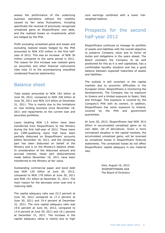assess the performance of the underlying business operations without the volatility caused by fair value fluctuations, including specifically the reversal of previously recognized unrealized gains on Eksportfinans' own debt, and the realized losses on investments which are hedged by the PHA.

Profit excluding unrealized gains and losses and excluding realized losses hedged by the PHA amounted to NOK 470 million in the first halfyear of 2012. This was an increase of NOK 36 million compared to the same period in 2011. The reason for this increase was realized gains on securities and other financial instruments (See note 15 to the accompanying unaudited condensed financial statements).

## Balance sheet

Total assets amounted to NOK 182 billion at June 30, 2012, compared to NOK 206 billion at June 30, 2011 and NOK 214 billion at December 31, 2011. This is mainly due to the limitations on new lending business since November 18, 2011 and repayments on the current loan and securities portfolios.

Loans totalling NOK 1.5 billion have been transferred from Eksportfinans to the Ministry during the first half-year of 2012. These loans are CIRR-qualifying loans that have been partially disbursed on Eksportfinans' accounts before November 18, 2011, and the remaining part has been disbursed on behalf of the Ministry and is on the Ministry's balance sheet. In consideration of the disbursed amount and accrued interest, these part disbursements made before November 18, 2011 have been transferred to the Ministry at fair value.

Outstanding commercial paper and bond debt was NOK 120 billion at June 30, 2012, compared to NOK 178 billion at June 30, 2011 and NOK 141 billion at December 31, 2011. The main reason for the decrease since year-end is maturing debt.

The capital adequacy ratio was 23.2 percent at June 30, 2012 compared to 17.2 percent at June 30, 2011 and 19.4 percent at December 31, 2011. The core capital adequacy ratio was 19.6 percent at June 30, 2012, compared to 13.6 percent at June 30, 2011 and 16.1 percent at December 31, 2011. The increase in the capital adequacy ratios is mainly due to high

core earnings combined with a lower riskweighted balance.

# Prospects for the second half-year 2012

Eksportfinans continues to manage its portfolio of assets and liabilities with the overall objective to preserve Company value and to honor all duties and obligations in the years ahead. The Board considers the Company to be well positioned for this as it is well capitalized, has a comfortable liquidity situation and has a good balance between expected maturities of assets and liabilities.

The outlook is still uncertain in the capital markets due to economic difficulties in the European Union. Eksportfinans is monitoring the developments. The Company has no exposure to Greece and a limited exposure to Spain, Italy and Portugal. This exposure is covered by the Company's PHA with its owners. In addition, Eksportfinans has some exposure to Ireland, covered by the PHA and government guarantees.

At June 30, 2012, Eksportfinans had NOK 30.0 billion in accumulated unrealized gains on its own debt, net of derivatives. Given a more normalized situation in the capital markets, the accumulated unrealized gains, will be reversed as unrealized losses in Eksportfinans financial statements. The unrealized losses do not affect Eksportfinans' capital adequacy in any material way.

> Oslo, August 16, 2012 EKSPORTFINANS ASA The Board of Directors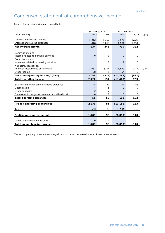# Condensed statement of comprehensive income

Figures for interim periods are unaudited.

|                                                                                                                               | Second quarter                 |                   | First half-year   |                   |             |
|-------------------------------------------------------------------------------------------------------------------------------|--------------------------------|-------------------|-------------------|-------------------|-------------|
| (NOK million)                                                                                                                 | 2012                           | 2011              | 2012              | 2011              | <b>Note</b> |
| Interest and related income<br>Interest and related expenses                                                                  | 1,212<br>878                   | 1,357<br>1,011    | 2,576<br>1,867    | 2,726<br>1,994    |             |
| <b>Net interest income</b>                                                                                                    | 334                            | 346               | 709               | 732               |             |
| Commissions and<br>income related to banking services                                                                         | $\Omega$                       | $\Omega$          | 0                 | $\Omega$          |             |
| Commissions and<br>expenses related to banking services                                                                       | $\mathbf{1}$                   | 2                 | 2                 | 3                 |             |
| Net gains/(losses) on<br>financial instruments at fair value<br>Other income                                                  | 2,061<br>28                    | (214)<br>1        | (11, 839)<br>54   | (477)<br>3        | 2, 15       |
| Net other operating income/ (loss)                                                                                            | 2,088                          | (215)             | (11,787)          | (477)             |             |
| <b>Total operating income</b>                                                                                                 | 2,422                          | 131               | (11,078)          | 255               |             |
| Salaries and other administrative expenses<br>Depreciation<br>Other expenses<br>Impairment charges on loans at amortized cost | 45<br>4<br>2<br>$\overline{0}$ | 43<br>5<br>2<br>0 | 91<br>9<br>3<br>0 | 88<br>9<br>5<br>0 |             |
| <b>Total operating expenses</b>                                                                                               | 51                             | 50                | 103               | 102               |             |
| Pre-tax operating profit/(loss)                                                                                               | 2,371                          | 81                | (11, 181)         | 153               |             |
| Taxes                                                                                                                         | 663                            | 23                | (3, 131)          | 43                |             |
| Profit/(loss) for the period                                                                                                  | 1,708                          | 58                | (8,050)           | 110               |             |
| Other comprehensive income                                                                                                    | $\Omega$                       | 0                 | 0                 | 0                 |             |
| <b>Total comprehensive income</b>                                                                                             | 1,708                          | 58                | (8,050)           | 110               |             |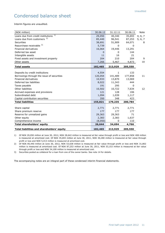# Condensed balance sheet

Interim figures are unaudited.

| (NOK million)                              | 30.06.12 | 31.12.11     | 30.06.11 | Note    |
|--------------------------------------------|----------|--------------|----------|---------|
| 1)<br>Loans due from credit institutions   | 29,050   | 40,340       | 35,693   | 4, 6, 7 |
| Loans due from customers <sup>2)</sup>     | 85,440   | 96,541       | 87,253   | 5, 6, 7 |
| <b>Securities</b>                          | 38,691   | 51,909       | 64,071   | 8       |
| Repurchase receivable 3)                   | 5,739    | 0            | 0        |         |
| <b>Financial derivatives</b>               | 16,064   | 19,446       | 13,291   |         |
| Deferred tax asset                         | 0        | 0            | 144      |         |
| Intangible assets                          | 11       | 16           | 21       |         |
| Fixed assets and investment property       | 204      | 210          | 204      | 9       |
| Other assets                               | 7,266    | 5,467        | 4,873    | 10      |
| <b>Total assets</b>                        | 182,465  | 213,929      | 205,550  |         |
|                                            |          |              |          |         |
| Deposits by credit institutions            | 4,554    | $\mathbf{1}$ | 133      |         |
| Borrowings through the issue of securities | 120,054  | 141,489      | 177,858  | 11      |
| <b>Financial derivatives</b>               | 10,933   | 13,870       | 13,069   |         |
| Deferred tax liabilities                   | 8,022    | 11,343       | 444      |         |
| Taxes payable                              | 191      | 295          | 0        |         |
| Other liabilities                          | 10,502   | 10,722       | 7,634    | 12      |
| Accrued expenses and provisions            | 121      | 128          | 106      |         |
| Subordinated debt                          | 1,094    | 1,039        | 1,117    |         |
| Capital contribution securities            | 350      | 348          | 423      |         |
| <b>Total liabilities</b>                   | 155,821  | 179,235      | 200,784  |         |
|                                            |          |              |          |         |
| Share capital                              | 2,771    | 2,771        | 2,771    |         |
| Share premium reserve                      | 177      | 177          | 177      |         |
| Reserve for unrealized gains               | 29,363   | 29,363       | 71       |         |
| Other equity                               | 2,383    | 2,383        | 1,637    |         |
| Comprehensive income                       | (8,050)  | 0            | 110      |         |
| <b>Total shareholders' equity</b>          | 26,644   | 34,694       | 4,766    |         |
| Total liabilities and shareholders' equity | 182,465  | 213,929      | 205,550  |         |

1) Of NOK 29,050 million at June 30, 2012, NOK 28,642 million is measured at fair value through profit or loss and NOK 408 million is measured at amortized cost. Of NOK 35,693 million at June 30, 2011, NOK 30,280 million is measured at fair value through profit or loss and NOK 5,413 million is measured at amortized cost.

2) Of NOK 85,440 million at June 30, 2012, NOK 53,638 million is measured at fair value through profit or loss and NOK 31,802 million is measured at amortized cost. Of NOK 87,253 million at June 30, 2011, NOK 53,153 million is measured at fair value through profit or loss and NOK 34,100 million is measured at amortized cost.

3) Securities posted as collateral for a loan from one of the owner banks. See note 14 for details.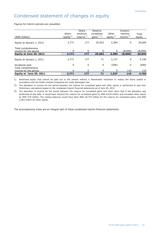# Condensed statement of changes in equity

Figures for interim periods are unaudited.

| (NOK million)                                                           | Share<br>capital $1$ | Share<br>premium<br>reserve $1$ | Reserve<br>unrealized<br>gains $1, 2$ | Other<br>equity $2$ | Compre-<br>hensive<br>income $3$ ) | Total<br>equity   |
|-------------------------------------------------------------------------|----------------------|---------------------------------|---------------------------------------|---------------------|------------------------------------|-------------------|
| Equity at January 1, 2012                                               | 2,771                | 177                             | 29,363                                | 2,384               | 0                                  | 34,695            |
| Total comprehensive<br>income for the period<br>Equity at June 30, 2012 | $\Omega$<br>2,771    | $\mathbf{0}$<br>177             | $\Omega$<br>29,363                    | 0<br>2,384          | (8,050)<br>(8,050)                 | (8,050)<br>26,644 |
| Equity at January 1, 2011                                               | 2,771                | 177                             | 71                                    | 2,137               | 0                                  | 5,156             |
| Dividends paid<br>Total comprehensive                                   | 0                    | 0                               | 0                                     | (500)               | $\mathbf 0$                        | (500)             |
| income for the period                                                   | $\Omega$             | 0                               | 0                                     | 0                   | 110                                | 110               |
| Equity at June 30, 2011                                                 | 2,771                | 177                             | 71                                    | 1,637               | 110                                | 4,766             |

1) Restricted equity that cannot be paid out to the owners without a shareholder resolution to reduce the share capital in accordance with the Public Limited Companies Act under Norwegian law.

2) The allocation of income for the period between the reserve for unrealized gains and other equity is performed at year-end. Preliminary calculations based on the condensed interim financial statements as of June 30, 2012.

3) The allocation of income for the period between the reserve for unrealized gains and other show that if the allocation was performed at this date, it would have reduced the reserve for unrealized gains by NOK 8,629 million and increased other equity by NOK 579 million. The closing balances would have been NOK 20,734 million for the reserve for unrealized gains, and NOK 2,963 million for other equity.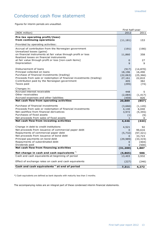# Condensed cash flow statement

Figures for interim periods are unaudited.

|                                                                     | First half-year |           |
|---------------------------------------------------------------------|-----------------|-----------|
| (NOK million)                                                       | 2012            | 2011      |
| Pre-tax operating profit/(loss)                                     |                 |           |
| from continuing operations                                          | (11, 181)       | 153       |
| Provided by operating activities:                                   |                 |           |
| Accrual of contribution from the Norwegian government               | (191)           | (190)     |
| Unrealized losses (gains)                                           |                 |           |
| on financial instruments at fair value through profit or loss       | 11,860          | 358       |
| Realized losses on financial instruments                            |                 |           |
| at fair value through profit or loss [non-cash items]               | 0               | 27        |
| Depreciation                                                        | 9               | 9         |
| Disbursement of loans                                               | (917)           | (14, 870) |
| Principal collected on loans                                        | 18,196          | 16,490    |
| Purchase of financial investments (trading)                         | (22,063)        | (25, 366) |
| Proceeds from sale or redemption of financial investments (trading) | 27,161          | 22,810    |
| Contribution paid by the Norwegian government                       | 405             | 382       |
| Taxes paid                                                          | (295)           | (74)      |
| Changes in:                                                         |                 |           |
| Accrued interest receivable                                         | 448             | 5.        |
| Other receivables                                                   | (2,084)         | (1, 417)  |
| Accrued expenses and other liabilities                              | (459)           | 826       |
| Net cash flow from operating activities                             | 20,889          | (857)     |
| Purchase of financial investments                                   | (3,666)         | (1, 120)  |
| Proceeds from sale or redemption of financial investments           | 4,140           | 6,040     |
| Net cashflow from financial derivatives                             | 3,972           | (5, 355)  |
| Purchases of fixed assets                                           | (1)             | (9)       |
| Net proceeds from sales of fixed assets                             | 1               | 0         |
| Net cash flow from investing activities                             | 4,446           | (444)     |
| Change in debt to credit institutions                               | 4,521           | 92        |
| Net proceeds from issuance of commercial paper debt                 | 0               | 99,616    |
| Repayments of commercial paper debt                                 | (5,732)         | (97, 321) |
| Net proceeds from issuance of bond debt                             | 0               | 33,723    |
| Principal payments on bond debt                                     | (29, 989)       | (33, 319) |
| Repayments of subordinated debt                                     | 0               | (404)     |
| Dividends paid                                                      | 0               | (500)     |
| Net cash flow from financing activities                             | (31, 200)       | 1,887     |
| Net change in cash and cash equivalents*)                           | (5,865)         | 586       |
| Cash and cash equivalents at beginning of period                    | 13,403          | 3,932     |
| Effect of exchange rates on cash and cash equivalents               | (227)           | (246)     |
| Cash and cash equivalents <sup>*</sup> ) at end of period           | 7,311           | 4,272     |

\*) Cash equivalents are defined as bank deposits with maturity less than 3 months.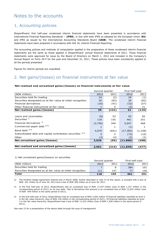## Notes to the accounts

### 1. Accounting policies

Eksportfinans' first half-year condensed interim financial statements have been presented in accordance with International Financial Reporting Standards – (**IFRS**), in line with both IFRS as adopted by the European Union (**EU**) and IFRS as issued by the International Accounting Standards Board (**IASB**). The condensed interim financial statements have been prepared in accordance with IAS 34, Interim Financial Reporting.

The accounting policies and methods of computation applied in the preparation of these condensed interim financial statements are the same as those applied in Eksportfinans' annual financial statements of 2011. Those financial statements were approved for issue by the Board of Directors on March 1, 2012 and included in the Company's Annual Report on Form 20-F for the year-end December 31, 2011. These policies have been consistently applied to all the periods presented.

Figures for interim periods are unaudited.

### 2. Net gains/(losses) on financial instruments at fair value

#### **Net realized and unrealized gains/(losses) on financial instruments at fair value**

|                                                               | Second quarter |       | First half-year |          |
|---------------------------------------------------------------|----------------|-------|-----------------|----------|
| (NOK million)                                                 | 2012           | 2011  | 2012            | 2011     |
| Securities held for trading                                   | 24             | (2)   | 29              | (1)      |
| Securities designated as at fair value at initial recognition | 26             | (83)  | 26              | (82)     |
| Financial derivatives                                         | (16)           | (41)  | (32)            | (57)     |
| Other financial instruments at fair value                     |                | 5     | (2)             | 21       |
| Net realized gains/(losses)                                   | 35             | (121) | 21              | (119)    |
|                                                               |                |       |                 |          |
| Loans and receivables                                         | (8)            | 53    | 92              | 82       |
| Securities <sup>1)</sup>                                      | 118            | 155   | 461             | 251      |
| Financial derivatives <sup>2)</sup>                           | (2,756)        | 349   | 5,047           | 468      |
| Commercial paper debt 3) 4)                                   |                | 1     | (1)             |          |
| Bond debt $^{3)$ 4)                                           | 4,670          | (651) | (17, 383)       | (1, 148) |
| Subordinated debt and capital contribution securities 3) 4)   | 3              | 4     | (73)            | (10)     |
| Other                                                         | (2)            | (4)   | (3)             | (2)      |
| Net unrealized gains/(losses)                                 | 2,026          | (93)  | (11,860)        | (358)    |
|                                                               |                |       |                 |          |
| Net realized and unrealized gains/(losses)                    | 2,061          | (214) | (11, 839)       | (477)    |

1) Net unrealized gains/(losses) on securities

|                                                               | Second quarter |      | First half-year |      |
|---------------------------------------------------------------|----------------|------|-----------------|------|
| (NOK million)                                                 | 2012           | 2011 | 2012            | 2011 |
| Securities held for trading                                   |                |      | 384             | 101  |
| Securities designated as at fair value at initial recognition | 111            | 147  | 77              | 150  |
| Total                                                         | 118            | 155  | 461             | 251  |

2) The Portfolio Hedge Agreement entered into in March 2008, further described in note 14 of this report, is included with a loss of NOK 451 million as of June 30, 2012 and a loss of NOK 285 million as of June 30, 2011.

3) In the first half-year of 2012, Eksportfinans had an unrealized loss of NOK 17,457 million (loss of NOK 1,157 million in the corresponding period of 2011) on its own debt. Net of derivatives this amount is an unrealized loss of NOK 12,032 million (loss of NOK 449 million in the same period of 2011).

4) In the first half-year of 2012, Eksportfinans had an unrealized loss of NOK 5,926 million of financial liabilities classified as level 2 in the fair value hierarchy (loss of NOK 120 million in the corresponding period of 2011). Of financial liabilities classified as level 3 in the fair value hierarchy, Eksportfinans had a loss of NOK 11,532 million (loss of NOK 1,038 million in the same period of 2011).

See note 15 for a presentation of the above table through the eyes of management.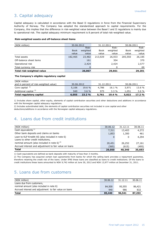## 3. Capital adequacy

Capital adequacy is calculated in accordance with the Basel II regulations in force from the Financial Supervisory Authority of Norway. The Company has adopted the standardized approach to capital requirements. For the Company, this implies that the difference in risk-weighted value between the Basel I and II regulations is mainly due to operational risk. The capital adequacy minimum requirement is 8 percent of total risk-weighted value.

#### **Risk-weighted assets and off-balance sheet items**

| (NOK million)             | 30.06.2012  |          | 31.12.2011  |          | 30.06.2011  |          |
|---------------------------|-------------|----------|-------------|----------|-------------|----------|
|                           |             | Risk-    |             | Risk-    |             | Risk-    |
|                           | <b>Book</b> | weighted | <b>Book</b> | weighted | <b>Book</b> | weighted |
|                           | value       | value    | value       | value    | value       | value    |
| Total assets              | 182,465     | 23,482   | 213,929     | 26,933   | 205,550     | 26,185   |
| Off-balance sheet items   |             | 161      |             | 304      |             | 370      |
| Operational risk          |             | 2,424    |             | 2,424    |             | 2,577    |
| Total currency risk       |             |          |             | 0        |             | 69       |
| Total risk-weighted value |             | 26,067   |             | 29,661   |             | 29,201   |

#### **The Company's eligible regulatory capital**

| (NOK million                           |            |          |            |         |            |        |
|----------------------------------------|------------|----------|------------|---------|------------|--------|
| and in percent of risk-weighted value) | 30.06.2012 |          | 31.12.2011 |         | 30.06.2011 |        |
| Core capital $1$ <sup>1</sup>          | 5,106      | $19.6\%$ | 4,786      | 16.1 %  | 3,971      | 13.6 % |
| Additional capital <sup>2)</sup>       | 949        | $3.6 \%$ | 975        | $3.3\%$ | 1.051      | 3.6 %  |
| Total regulatory capital               | 6,055      | 23.2%    | 5,761      | 19.4%   | 5,022      | 17.2 % |

1) Includes share capital, other equity, elements of capital contribution securities and other deductions and additions in accordance with the Norwegian capital adequacy regulations.

2) Includes subordinated debt, the elements of capital contribution securities not included in core capital and other deductions/additions in accordance with the Norwegian capital adequacy regulations.

## 4. Loans due from credit institutions

| (NOK million)                                          | 30.06.12 | 31.12.11 | 30.06.11 |
|--------------------------------------------------------|----------|----------|----------|
| Cash equivalents $1$                                   | 7,311    | 13,403   | 4,272    |
| Other bank deposits and claims on banks                | 1,853    | 1,300    | 461      |
| Loan to KLP Kreditt AS (also included in note 6)       |          | 0        | 4,294    |
| Loans to other credit institutions,                    |          |          |          |
| nominal amount (also included in note 6) $^{2}$ )      | 20,451   | 26,252   | 27,161   |
| Accrued interest and adjustment to fair value on loans | (565)    | (615)    | (495)    |
| <b>Total</b>                                           | 29,050   | 40,340   | 35,693   |

1) Cash equivalents are defined as bank deposits with maturity of less than 3 months.

2) The Company has acquired certain loan agreements from banks for which the selling bank provides a repayment guarantee, therefore retaining the credit risk of the loans. Under IFRS these loans are classified as loans to credit institutions. Of the loans to credit institutions these loans amounted to NOK 9,742 million at June 30, 2012 and NOK 13,977 million at December 31, 2011.

## 5. Loans due from customers

| (NOK million)                                          | 30.06.12 | 31.12.11 | 30.06.11 |
|--------------------------------------------------------|----------|----------|----------|
| Loans due from customers,                              |          |          |          |
| nominal amount (also included in note 6)               | 84,500   | 95,555   | 86,421   |
| Accrued interest and adjustment to fair value on loans | 940      | 986      | 832      |
| <b>Total</b>                                           | 85,440   | 96.541   | 87,253   |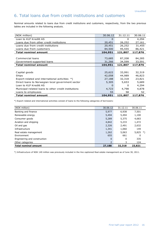## 6. Total loans due from credit institutions and customers

Nominal amounts related to loans due from credit institutions and customers, respectively, from the two previous tables are included in the following analysis.

| (NOK million)                                        | 30.06.12 | 31.12.11 | 30.06.11 |
|------------------------------------------------------|----------|----------|----------|
| Loan to KLP Kreditt AS                               | 0        | $\Omega$ | 4,294    |
| Loans due from other credit institutions             | 20,451   | 26,252   | 27,161   |
| Loans due from credit institutions                   | 20,451   | 26,252   | 31,455   |
| Loans due from customers                             | 84,500   | 95,555   | 86,421   |
| <b>Total nominal amount</b>                          | 104,951  | 121,807  | 117,876  |
|                                                      |          |          |          |
| Commercial loans                                     | 73,685   | 87,208   | 84,285   |
| Government-supported loans                           | 31,266   | 34,599   | 33,591   |
| <b>Total nominal amount</b>                          | 104,951  | 121,807  | 117,876  |
|                                                      |          |          |          |
| Capital goods                                        | 25,622   | 33,991   | 32,319   |
| Ships                                                | 42,058   | 44,989   | 46,823   |
| Export-related and international activities *)       | 27,188   | 32,318   | 23,821   |
| Direct loans to Norwegian local government sector    | 5,305    | 5,653    | 5,689    |
| Loan to KLP Kreditt AS                               | 0        | 0        | 4,294    |
| Municipal-related loans to other credit institutions | 4,723    | 4,798    | 4,878    |
| Loans to employees                                   | 55       | 58       | 52       |
| <b>Total nominal amount</b>                          | 104,951  | 121,807  | 117,876  |

\*) Export-related and international activities consist of loans to the following categories of borrowers:

| (NOK million)                | 30.06.12 | 31.12.11 | 30.06.11       |
|------------------------------|----------|----------|----------------|
| Banking and finance          | 5,977    | 6,938    | 7,501          |
| Renewable energy             | 5,494    | 5,494    | 1,100          |
| Consumer goods               | 5,289    | 5,375    | 4,683          |
| Aviation and shipping        | 4,842    | 5,233    | 1,472          |
| Oil and gas                  | 2,326    | 2,491    | 2,632          |
| Infrastructure               | 1,341    | 1,060    | 149            |
| Real estate management       | 1,262    | 5,063    | 5,825<br>$^*)$ |
| Environment                  | 655      | 661      | 0              |
| Engineering and construction | $\Omega$ | 0        | 335            |
| Other categories             |          | 3        | 124            |
| <b>Total nominal amount</b>  | 27,188   | 32,318   | 23,821         |

\*) Infrastructure of NOK 149 million was previously included in the line captioned Real estate management as of June 30, 2011.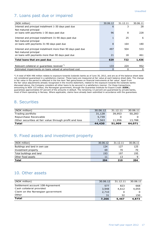## 7. Loans past due or impaired

| (NOK million)                                                                          | 30.06.12 | 31.12.11 | 30.06.11 |
|----------------------------------------------------------------------------------------|----------|----------|----------|
| Interest and principal installment 1-30 days past due                                  | 6        | 3        | 28       |
| Not matured principal                                                                  |          |          |          |
| on loans with payments 1-30 days past due                                              | 96       | 8        | 228      |
| Interest and principal installment 31-90 days past due<br>Not matured principal        |          | 25       | 6        |
| on loans with payments 31-90 days past due                                             | 8        | 164      | 180      |
| Interest and principal installment more than 90 days past due<br>Not matured principal | 497      | 504      | 533      |
| on loans with payments more than 90 days past due                                      | 21       | 18       | 461      |
| Total loans that are past due                                                          | 629      | 722      | 1,436    |
|                                                                                        |          |          |          |
| Relevant collateral or guarantees received *)                                          | 133      | 224      | 952      |
| Estimated impairments on loans valued at amortized cost                                | 0        | Ω        | 0        |

\*) A total of NOK 496 million relates to exposure towards Icelandic banks as of June 30, 2012, and are as of the balance sheet date not considered guaranteed in a satisfactory manner. These loans are measured at fair value at each balance sheet date. The change in fair value in the period is reflected in the line item 'Net gains/losses on financial instruments at fair value'. Apart from the fair value adjustments already recognized in the income statement, related to the exposure towards the Icelandic banks discussed above, the Company considers all other loans to be secured in a satisfactory manner. For these transactions, amounting to NOK 133 million, the Norwegian government, through the Guarantee Institute for Export Credit (**GIEK**), guarantees approximately 87 percent of the amounts in default. The remaining 13 percent are guaranteed by private banks, most of them operating in Norway. Where applicable, claims have already been submitted in accordance with the guarantees.

## 8. Securities

| (NOK million)                                          | 30.06.12 | 31.12.11 | 30.06.11 |
|--------------------------------------------------------|----------|----------|----------|
| Trading portfolio                                      | 31,128   | 39,953   | 50,283   |
| Repurchase Receivable                                  | 5,739    |          |          |
| Other securities at fair value through profit and loss | 7,563    | 11,956   | 13,788   |
| Total                                                  | 44,430   | 51,909   | 64,071   |

## 9. Fixed assets and investment property

| <b>Total</b>                  | 204      | 210      | 204      |
|-------------------------------|----------|----------|----------|
| Other fixed assets            | 11       | 13       |          |
| Total buildings and land      | 193      | 197      | 195      |
| Investment property           | 69       | 70       | 70       |
| Buildings and land in own use | 124      | 127      | 125      |
| (NOK million)                 | 30.06.12 | 31.12.11 | 30.06.11 |

#### 10. Other assets

| (NOK million)                     | 30.06.12 | 31.12.11 | 30.06.11 |
|-----------------------------------|----------|----------|----------|
| Settlement account 108-Agreement  | 577      | 823      | 668      |
| Cash collateral provided          | 3,948    | 4,612    | 4,055    |
| Claim on the Norwegian government | 2,710    | 0        |          |
| Other                             | 31       | 32       | 150      |
| <b>Total</b>                      | 7,266    | 5,467    | 4,873    |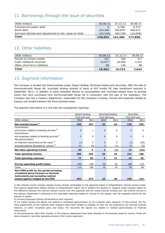## 11. Borrowings through the issue of securities

| (NOK million)                                         | 30.06.12 | 31.12.11  | 30.06.11 |
|-------------------------------------------------------|----------|-----------|----------|
| Commercial paper debt                                 |          | 5,760     | 5,373    |
| Bond debt                                             | 163,200  | 195,879   | 188,513  |
| Accrued interest and adjustment to fair value on debt | (43.146) | (60, 150) | (16,028) |
| Total                                                 | 120,054  | 141,489   | 177,858  |

## 12. Other liabilities

| (NOK million)                | 30.06.12 | 31.12.11 | 30.06.11 |
|------------------------------|----------|----------|----------|
| Grants to mixed credits      | 337      | 336      | 317      |
| Cash collateral received     | 10,077   | 10,260   | 7,231    |
| Other short-term liabilities | 88       | 126      | 86       |
| Total                        | 10,502   | 10,722   | 7,634    |

## 13. Segment information

The Company is divided into three business areas; Export lending, Municipal lending and Securities. After the sale of Kommunekreditt Norge AS, municipal lending consists of loans to KLP Kreditt AS (last installment received in September 2011), in addition to loans extended directly to municipalities and municipal-related loans to savings banks that were purchased from Kommunekreditt Norge AS in connection with the sale of the subsidiary. The Company also has a treasury department, responsible for the Company's funding. Income and expenses related to treasury are divided between the three business areas.

The segment information is in line with the management reporting.

|                                                        | Export lending  |              |                 | Municipal lending | <b>Securities</b> |              |
|--------------------------------------------------------|-----------------|--------------|-----------------|-------------------|-------------------|--------------|
|                                                        | First half-year |              | First half-year |                   | First half-year   |              |
| (NOK million)                                          | 2012            | 2011         | 2012            | 2011              | 2012              | 2011         |
| Net interest income <sup>1)</sup>                      | 456             | 437          | 36              | 64                | 218               | 230          |
| Commissions                                            |                 |              |                 |                   |                   |              |
| and income related to banking services <sup>2)</sup>   | $\Omega$        | $\mathbf{1}$ | $\Omega$        | 0                 | $\overline{0}$    | 0            |
| Commissions                                            |                 |              |                 |                   |                   |              |
| and expenses related to banking services <sup>2)</sup> | $\Omega$        | 0            | $\Omega$        | 0                 | $\overline{0}$    | $\mathbf{0}$ |
| Net gains/(losses)                                     |                 |              |                 |                   |                   |              |
| on financial instruments at fair value 3)              | (1)             | 9            | $\Omega$        | 0                 | (1)               | (30)         |
| Income/expense allocated by volume 4)                  | 31              | (4)          | 3               | (1)               | 14                | (2)          |
| Net other operating income                             | 30              | 6            | 3               | (1)               | 13                | (32)         |
| <b>Total operating income</b>                          | 486             | 443          | 39              | 63                | 231               | 198          |
| <b>Total operating expenses</b>                        | 77              | 65           | 3               | 11                | 23                | 26           |
|                                                        |                 |              |                 |                   |                   |              |
| Pre-tax operating profit/(loss)                        | 409             | 378          | 36              | 52                | 208               | 172          |
| Taxes                                                  | 115             | 106          | 10              | 14                | 58                | 48           |
| Non-IFRS profit for the period excluding               |                 |              |                 |                   |                   |              |
| unrealized gains/(losses) on financial                 |                 |              |                 |                   |                   |              |
| instruments and excluding realized                     |                 |              |                 |                   |                   |              |
| losses/(gains) hedged by the PHA                       | 294             | 272          | 26              | 38                | 150               | 124          |

1) Net interest income includes interest income directly attributable to the segments based on Eksportfinans' internal pricing model. The treasury department obtains interest on Eksportfinans' equity and in addition the positive or negative result (margin) based on the difference between the internal interest income from the segments and the actual external funding cost. Net interest income in the treasury department is allocated to the reportable segments based on volume for the margin, and risk weighted volume for the interest on equity.

2) Income/(expenses) directly attributable to each segment.

3) For Export lending the figures are related to unrealized gains/(losses) on the Icelandic bank exposure. In this context, the fair value adjustments on the Icelandic bank exposure have been treated as realized, as they are not expected to be reversed towards maturity, as other unrealized gains and losses. For Securities the figures are related to realized gains/(losses) on financial instruments.

4) Income/expense, other than interest, in the treasury department have been allocated to the business areas by volume. These are items included in net other operating income in the income statement.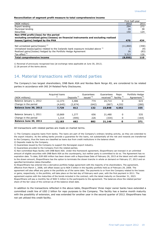#### **Reconciliation of segment profit measure to total comprehensive income**

|                                                                                               | First half-year |       |
|-----------------------------------------------------------------------------------------------|-----------------|-------|
| (NOK million)                                                                                 | 2012            | 2011  |
| Export lending                                                                                | 294             | 272   |
| Municipal lending                                                                             | 26              | 38    |
| Securities                                                                                    | 150             | 124   |
| Non-IFRS profit/(loss) for the period                                                         |                 |       |
| excluding unrealized gains/(losses) on financial instruments and excluding realized           |                 |       |
| losses/(gains) hedged by the PHA                                                              | 470             | 434   |
|                                                                                               |                 |       |
| Net unrealized gains/(losses) $1$                                                             | (11,860)        | (358) |
| Unrealized losses/(gains) related to the Icelandic bank exposure included above <sup>1)</sup> |                 | (9)   |
| Realized gains/(losses) hedged by the Portfolio Hedge Agreement                               | 26              | (83)  |
| Tax effect $^{2)}$                                                                            | 3,313           | 126   |
| Total comprehensive income                                                                    | (8,050)         | 110   |

1) Reversal of previously recognized loss (at exchange rates applicable at June 30, 2012).

2) 28 percent of the items above.

#### 14. Material transactions with related parties

The Company's two largest shareholders, DNB Bank ASA and Nordea Bank Norge AS, are considered to be related parties in accordance with IAS 24 Related Party Disclosures.

| (NOK millions)          | Acquired loans<br>1) | Deposits <sup>2)</sup> | Guarantees<br>issued 3) | Guarantees<br>received $4$ <sup>)</sup> facility $5$ <sup>)</sup> | Repo  | Portfolio Hedge<br>Agreement <sup>6)</sup> |
|-------------------------|----------------------|------------------------|-------------------------|-------------------------------------------------------------------|-------|--------------------------------------------|
| Balance January 1, 2012 | 12,373               | 3,486                  | 774                     | 24,714                                                            | 0     | 615                                        |
| Change in the period    | (4,645)              | (2,674)                | (642)                   | (867                                                              | 4,552 | (280)                                      |
| Balance June 30, 2012   | 7,729                | 812                    | 132                     | 23,848                                                            | 4,552 | 335                                        |
|                         |                      |                        |                         |                                                                   |       |                                            |
| Balance January 1, 2011 | 10,869               | 1,277                  | 656                     | 21,480                                                            | 0     | 535                                        |
| Change in the period    | 1,314                | (595)                  | 226                     | (334)                                                             | 0     | (164)                                      |
| Balance June 30, 2011   | 12,183               | 682                    | 882                     | 21,146                                                            | 0     | 371                                        |

All transactions with related parties are made on market terms.

1) The Company acquires loans from banks. The loans are part of the Company's ordinary lending activity, as they are extended to the export industry. As the selling banks provide a guarantee for the loans, not substantially all the risk and rewards are transferred to the Company, thus the loans are classified as loans due from credit institutions in the balance sheet.

2) Deposits made by the Company.

3) Guarantees issued by the Company to support the Norwegian export industry.

4) Guarantees provided to the Company from the related parties.

5) Non-committed Repo facility with DNB Bank ASA. Under this framework agreement, Eksportfinans can transact in an unlimited amount of eligible securities with DNB Bank ASA as the counterparty, but neither party is committed to do so. The Agreement has no expiration date. To date, EUR 600 million has been drawn with a Repurchase Date of February 26, 2015 at the latest and with respect to the drawn amount, Eksportfinans has the option to terminate the drawn tranche in whole on demand on February 27, 2013 and on specified termination dates thereafter.

6) Eksportfinans has entered into a derivative portfolio hedge agreement with the majority of its shareholders. The agreement, effective from March 1, 2008, will offset losses up to NOK 5 billion in the liquidity portfolio held as of February 29, 2008. The agreement will also offset any gains in the portfolio as of the same date. The payments to or from the Company related to the losses or gains, respectively, in the portfolio, will take place on the last day of February each year, with the first payment in 2011. The agreement expires with the maturities of the bonds included in the contract, with the latest maturity on December 31, 2023. Eksportfinans will pay a monthly fee of NOK 5 million to the participants to the agreement. The balances show the related parties' share of the fair value of the contract as of the balance sheet date.

In addition to the transactions reflected in the above table, Eksportfinans' three major owner banks have extended a committed credit line of USD 2 billion for repo purposes to the Company. The facility has a twelve month maturity with the possibility of extension, and was extended for another year in the second quarter of 2012. Eksportfinans has not yet utilized this credit facility.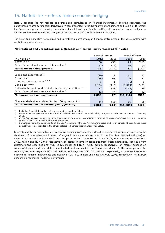## 15. Market risk - effects from economic hedging

Note 2 specifies the net realized and unrealized gains/losses on financial instruments, showing separately the gains/losses related to financial derivatives. When presented to the Company's management and Board of Directors, the figures are prepared showing the various financial instruments after netting with related economic hedges, as derivatives are used as economic hedges of the market risk of specific assets and liabilities.

The below table specifies net realized and unrealized gains/(losses) on financial instruments at fair value, netted with related economic hedges.

#### **Net realized and unrealized gains/(losses) on financial instruments at fair value**

|                                                                | Second quarter |       | First half-year |       |  |
|----------------------------------------------------------------|----------------|-------|-----------------|-------|--|
| (NOK million)                                                  | 2012           | 2011  | 2012            | 2011  |  |
| Securities $1$                                                 | 36             | (99)  | 25              | (113) |  |
| Other financial instruments at fair value 1)                   | (1)            | (22)  | (4)             | (6)   |  |
| Net realized gains/(losses)                                    | 35             | (121) | 21              | (119) |  |
|                                                                |                |       |                 |       |  |
| Loans and receivables <sup>1)</sup>                            | (20)           | 2     | 111             | 97    |  |
| Securities $1$                                                 | (66)           | 63    | 6               | 51    |  |
| Commercial paper debt 1) 2) 3)                                 | 1              | 1     | (1)             |       |  |
| Bond debt $^{1/2}$ <sup>3)</sup>                               | 2,104          | (116) | (11, 919)       | (401) |  |
| Subordinated debt and capital contribution securities 1) 2) 3) | 12             | (23)  | (112)           | (49)  |  |
| Other financial instruments at fair value 1)                   | (1)            | (4)   | (1)             | (2)   |  |
| Net unrealized gains/(losses)                                  | 2,030          | (77)  | (11, 916)       | (303) |  |
|                                                                |                |       |                 |       |  |
| Financial derivatives related to the 108 agreement $4$ )       | (4)            | (16)  | 56              | (55)  |  |
| Net realized and unrealized gains/(losses)                     | 2,061          | (214) | (11, 839)       | (477) |  |

1) Including financial derivatives with purpose of economic hedging.

2) Accumulated net gain on own debt is NOK 30,038 million as of June 30, 2012, compared to NOK 967 million as of June 30, 2011.

3) In the first half-year of 2012, Eksportfinans had an unrealized loss of NOK 12,032 million (loss of NOK 449 million in the same period of 2011) on its own debt, net of derivatives.

4) Derivatives related to components of the 108 Agreement. The 108 Agreement is accounted for at amortized cost, hence these derivatives are not included in the effects related to financial instruments at fair value.

Interest, and the interest effect on economical hedging instruments, is classified as interest income or expense in the statement of comprehensive income. Changes in fair value are recorded in the line item 'Net gains/(losses) on financial instruments at fair value'. For the period ended June 30, 2012 and 2011, the company recorded NOK 2,662 million and NOK 2,940 respectively, of interest income on loans due from credit institutions, loans due from customers and securities and NOK 2,476 million and NOK 4,187 million, respectively, of interest expense on commercial paper and bond debt, subordinated debt and capital contribution securities. In the same periods the company recorded negative NOK 87 million, and negative NOK 214 million, respectively, of interest income on economical hedging instruments and negative NOK 610 million and negative NOK 2,193, respectively, of interest expense on economical hedging instruments.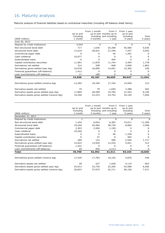# 16. Maturity analysis

Maturity analysis of financial liabilities based on contractual maturities (including off-balance sheet items):

|                                               |           | From 1 month | From 3                  | From 1 year |              |
|-----------------------------------------------|-----------|--------------|-------------------------|-------------|--------------|
|                                               | Up to and |              | up to and months up to  | up to and   |              |
|                                               | including |              | including and including | including   | Over         |
| (NOK million)                                 | 1 month   | 3 months     | 1 year                  | 5 years     | 5 years      |
| June 30, 2012                                 |           |              |                         |             |              |
| Deposit by credit institutions                | 4,554     | 0            | 0                       | 0           | O            |
| Non-structured bond debt                      | 717       | 1,636        | 25,288                  | 55,580      | 5,030        |
| Structured bond debt                          | 17,619    | 28,931       | 27,248                  | 7,247       | 3,045        |
| Commercial paper debt                         | 0         | 0            | 54                      | 1,291       | 0            |
| Cash collateral                               | 10,077    | 0            | 0                       | o           | <sup>0</sup> |
| Subordinated loans                            | O         | 0            | 494                     | o           | 0            |
| Capital contribution securities               | (1,991)   | (1,876)      | (1,744)                 | 3,494       | 1,778        |
| Derivatives net settled                       | 214       | 208          | 668                     | 3,069       | 1,863        |
| Derivatives gross settled (pay leg)           | 10,078    | 16,099       | 14,691                  | 15,365      | 228          |
| Financial guarantees (off-balance)            | 1,412     | 0            | O                       | U           | $\Omega$     |
| Loan commitments (off-balance)                | 17        | 189          | O                       | 0           | 0            |
| <b>Total</b>                                  | 42,698    | 45,187       | 66,699                  | 86,047      | 11,944       |
|                                               |           |              |                         |             |              |
| Derivatives gross settled (receive leg)       | 12,284    | 18,184       | 17,104                  | 14,940      | 313          |
|                                               |           |              |                         |             |              |
| Derivative assets net settled                 | 79        | 79           | 1,650                   | 3,388       | 502          |
| Derivative assets gross settled (pay leg)     | 17,869    | 20,598       | 19,784                  | 31,544      | 6,196        |
| Derivative assets gross settled (receive leg) | 19,256    | 23,233       | 23,793                  | 35,194      | 7,056        |
|                                               |           |              |                         |             |              |

| (NOK million)<br>December 31, 2011            | Up to and<br>including<br>1 month | From 1 month<br>3 months | From 3<br>up to and months up to<br>including and including<br>1 year | From 1 year<br>up to and<br>including<br>5 years | Over<br>5 years |
|-----------------------------------------------|-----------------------------------|--------------------------|-----------------------------------------------------------------------|--------------------------------------------------|-----------------|
| Deposit by credit institutions                |                                   | 0                        | 0                                                                     | 0                                                | 0               |
| Non-structured bond debt                      | 1,254                             | 9,654                    | 6,383                                                                 | 74,011                                           | 11,209          |
| Structured bond debt                          | 19,240                            | 34,460                   | 38,730                                                                | 8,894                                            | 3,598           |
| Commercial paper debt                         | 2,303                             | 2,265                    | 1,199                                                                 | o                                                | O               |
| Cash collateral                               | 10,260                            | 0                        | 0                                                                     | O                                                | <sup>0</sup>    |
| Subordinated loans                            | 0                                 | 0                        | 56                                                                    | 1,328                                            | 0               |
| Capital contribution securities               | 0                                 | 27                       | <sup>0</sup>                                                          | 464                                              | <sup>0</sup>    |
| Derivatives net settled                       | 269                               | 122                      | 596                                                                   | 2,546                                            | 1,717           |
| Derivatives gross settled (pay leg)           | 14,922                            | 14,920                   | 12,434                                                                | 5,921                                            | 312             |
| Financial guarantees (off-balance)            | 1,422                             | 0                        | 0                                                                     | O                                                | 0               |
| Loan commitments (off-balance)                | 29                                | 944                      | 2,113                                                                 | 0                                                | 0               |
| Total                                         | 49,700                            | 62,392                   | 61,511                                                                | 93,164                                           | 16,836          |
| Derivatives gross settled (receive leg)       | 17,429                            | 17,783                   | 16,192                                                                | 5,876                                            | 449             |
| Derivative assets net settled                 | 28                                | 227                      | 1,936                                                                 | 4,119                                            | 603             |
| Derivative assets gross settled (pay leg)     | 24,913                            | 33,730                   | 22,205                                                                | 45,588                                           | 6,506           |
| Derivative assets gross settled (receive leg) | 26,823                            | 37,075                   | 25,711                                                                | 50,150                                           | 7,471           |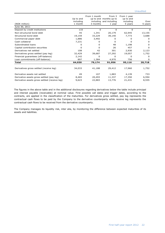| (NOK million)                                 | Up to and<br>including<br>1 month | From 1 month<br>3 months | From 3<br>up to and months up to<br>including and including<br>1 year | From 1 year<br>up to and<br>including<br>5 years | Over<br>5 years |
|-----------------------------------------------|-----------------------------------|--------------------------|-----------------------------------------------------------------------|--------------------------------------------------|-----------------|
| June 30, 2011                                 |                                   |                          |                                                                       |                                                  |                 |
| Deposit by credit institutions                | 133                               | 0                        | 0                                                                     | 0                                                | 0               |
| Non-structured bond debt                      | 45                                | 1,341                    | 20,179                                                                | 62,945                                           | 13,155          |
| Structured bond debt                          | 19,159                            | 33,229                   | 39,140                                                                | 7,773                                            | 3,688           |
| Commercial paper debt                         | 1,886                             | 3,492                    | 0                                                                     | <sup>0</sup>                                     | 0               |
| Cash collateral                               | 7,231                             | 0                        | O                                                                     | n                                                | <sup>0</sup>    |
| Subordinated loans                            | 0                                 | 0                        | 48                                                                    | 1,198                                            | <sup>0</sup>    |
| Capital contribution securities               | 0                                 | 0                        | 26                                                                    | 457                                              | 0               |
| Derivatives net settled                       | 108                               | 42                       | 301                                                                   | 2,930                                            | 2,123           |
| Derivatives gross settled (pay leg)           | 32,429                            | 39,687                   | 27,292                                                                | 19,057                                           | 1,752           |
| Financial guarantees (off-balance)            | 2,142                             | 0                        | 0                                                                     | 0                                                | 0               |
| Loan commitments (off-balance)                | 897                               | 1,384                    | 4,970                                                                 | 756                                              | 0               |
| <b>Total</b>                                  | 64,030                            | 79,174                   | 91,956                                                                | 95,116                                           | 20,718          |
|                                               |                                   |                          |                                                                       |                                                  |                 |
| Derivatives gross settled (receive leg)       | 34,033                            | 41,188                   | 29,412                                                                | 17,960                                           | 1,752           |
| Derivative assets net settled                 | 49                                | 107                      | 1,883                                                                 | 4,139                                            | 733             |
| Derivative assets gross settled (pay leg)     | 8,465                             | 20,493                   | 11,337                                                                | 17,350                                           | 6,594           |
| Derivative assets gross settled (receive leg) | 9,623                             | 22,883                   | 13,776                                                                | 21,431                                           | 8,555           |

The figures in the above table and in the additional disclosures regarding derivatives below the table include principal and interest payable (receivable) at nominal value. First possible call dates and trigger dates, according to the contracts, are applied in the classification of the maturities. For derivatives gross settled, pay leg represents the contractual cash flows to be paid by the Company to the derivative counterparty while receive leg represents the contractual cash flows to be received from the derivative counterparty.

The Company manages its liquidity risk, inter alia, by monitoring the difference between expected maturities of its assets and liabilities.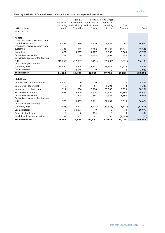Maturity analysis of financial assets and liabilities based on expected maturities:

| <b>Total liabilities</b>                              | 6,608                | 15,888    | 40,492                                | 93,025               | 33,144          | 189,158        |
|-------------------------------------------------------|----------------------|-----------|---------------------------------------|----------------------|-----------------|----------------|
| Capital contribution securities                       | 199                  | 303       | 641                                   | 1,735                | (2,893)         | (15)           |
| Subordinated loans                                    | 0                    | 0         | 494                                   | 0                    | 0               | 494            |
| Cash collateral                                       | 0                    | 10,077    | 0                                     | 0                    | 0               | 10,077         |
| (receiving leg)                                       | (535)                | (5, 371)  | (7, 434)                              | (33,986)             | (15, 371)       | (62, 696)      |
| leq)<br>Derivatives gross settled                     | 520                  | 5,465     | 7,411                                 | 32,664               | 10,615          | 56,674         |
| Derivatives gross settled (paying                     | 214                  | 208       | 664                                   | 3,057                | 1,863           | 6,006          |
| Derivatives net settled                               |                      | 3,569     | 13,374                                | 32,685               | 33,900          | 84,467         |
| Structured bond debt                                  | 939                  | 1,636     | 25,288                                | 55,580               | 5,030           | 88,251         |
| Non-structured bond debt                              | 717                  |           |                                       |                      |                 |                |
| Commercial paper debt                                 | 4,554<br>0           | 0<br>0    | $\Omega$<br>54                        | 0<br>1,291           | 0               | 4,554<br>1,345 |
| <b>Liabilities</b><br>Deposits by credit institutions |                      |           |                                       |                      | 0               |                |
|                                                       | 11,520               | 10,420    | 42,765                                | 67,704               | 59,891          | 192,299        |
| <b>Total assets</b>                                   | 0                    | 3,948     | 0                                     | 0                    | 0               | 3,948          |
| (receiving leg)<br>Cash collateral                    | 15,824               | 13,524    | 18,802                                | 39,643               | 20,676          | 108,469        |
| Derivatives gross settled                             |                      |           |                                       |                      |                 |                |
| leg)                                                  | (15, 255)            | (12, 897) | (17, 151)                             | (35, 233)            | (15, 571)       | (96, 108)      |
| Derivatives gross settled (paying                     |                      |           | 1,653                                 | 3,699                |                 | 6,162          |
| Derivatives net settled                               | 79                   | 79        |                                       |                      | 652             |                |
| <b>Securities</b>                                     | 1,879                | 4,307     | 24,727                                | 8,566                | 8,304           | 47,783         |
| Loans and receivables due from<br>customers           | 4,407                | 599       | 13,505                                | 41,496               | 45,341          | 105,347        |
| credit institutions                                   | 4,586                | 859       | 1,229                                 | 9,532                | 491             | 16,697         |
| <b>Assets</b><br>Loans and receivables due from       |                      |           |                                       |                      |                 |                |
|                                                       |                      |           |                                       |                      |                 |                |
| June 30, 2012                                         |                      |           |                                       |                      |                 |                |
| (NOK million)                                         | including<br>1 month | 3 months  | and including and including<br>1 year | including<br>5 years | Over<br>5 years | Total          |
|                                                       |                      |           |                                       |                      |                 |                |
|                                                       | Up to and            |           | month up to months up to              | up to and            |                 |                |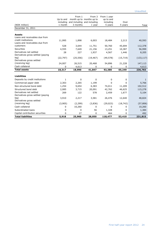| (NOK million)                     | Up to and<br>including<br>1 month | From 1<br>3 months | From 3<br>month up to months up to<br>and including and including<br>1 year | From 1 year<br>up to and<br>including<br>5 years | Over<br>5 years | Total      |
|-----------------------------------|-----------------------------------|--------------------|-----------------------------------------------------------------------------|--------------------------------------------------|-----------------|------------|
| December 31, 2011                 |                                   |                    |                                                                             |                                                  |                 |            |
|                                   |                                   |                    |                                                                             |                                                  |                 |            |
| <b>Assets</b>                     |                                   |                    |                                                                             |                                                  |                 |            |
| Loans and receivables due from    |                                   |                    |                                                                             |                                                  |                 |            |
| credit institutions               | 11,995                            | 1,898              | 6,003                                                                       | 18,484                                           | 2,213           | 40,593     |
| Loans and receivables due from    |                                   |                    |                                                                             |                                                  |                 |            |
| customers                         | 528                               | 3,644              | 11,751                                                                      | 50,760                                           | 45,694          | 112,378    |
| Securities                        | 4,555                             | 7,649              | 21,156                                                                      | 13,251                                           | 10,387          | 56,999     |
| Derivatives net settled           | 28                                | 227                | 1,937                                                                       | 4,567                                            | 1,446           | 8,205      |
| Derivatives gross settled (paying |                                   |                    |                                                                             |                                                  |                 |            |
| leg)                              | (22, 797)                         | (25, 556)          | (19, 467)                                                                   | (49, 578)                                        | (15, 719)       | (133, 117) |
| Derivatives gross settled         |                                   |                    |                                                                             |                                                  |                 |            |
| (receiving leg)                   | 24,007                            | 26,515             | 20,468                                                                      | 54,896                                           | 21,228          | 147,113    |
| Cash collateral                   | 0                                 | 4,613              | 0                                                                           | 0                                                | 0               | 4,613      |
| <b>Total assets</b>               | 18,317                            | 18,990             | 41,847                                                                      | 92,380                                           | 65,249          | 236,783    |
|                                   |                                   |                    |                                                                             |                                                  |                 |            |
| <b>Liabilities</b>                |                                   |                    |                                                                             |                                                  |                 |            |
| Deposits by credit institutions   | $\mathbf{1}$                      | 0                  | 0                                                                           | 0                                                | 0               | 1          |
| Commercial paper debt             | 2,303                             | 2,265              | 1,199                                                                       | 0                                                | 0               | 5,766      |
| Non-structured bond debt          | 1,254                             | 9,654              | 6,383                                                                       | 74,011                                           | 11,209          | 102,512    |
| Structured bond debt              | 2,085                             | 3,715              | 20,091                                                                      | 42,762                                           | 46,625          | 115,278    |
| Derivatives net settled           | 269                               | 122                | 578                                                                         | 2,459                                            | 1,677           | 5,104      |
| Derivatives gross settled (paying |                                   |                    |                                                                             |                                                  |                 |            |
| leq)                              | 3,910                             | 2,217              | 3,581                                                                       | 26,476                                           | 12,640          | 48,824     |
| Derivatives gross settled         |                                   |                    |                                                                             |                                                  |                 |            |
| (receiving leg)                   | (3,905)                           | (2, 299)           | (3,836)                                                                     | (29, 023)                                        | (18, 742)       | (57, 806)  |
| Cash collateral                   | 0                                 | 10,260             | 0                                                                           | 0                                                | 0               | 10,260     |
| Subordinated loans                | 0                                 | 0                  | 56                                                                          | 1,328                                            | 0               | 1,384      |
| Capital contribution securities   | 0                                 | 27                 | 0                                                                           | 464                                              | 0               | 492        |
| <b>Total liabilities</b>          | 5,918                             | 25,960             | 28,050                                                                      | 118,477                                          | 53,410          | 231,815    |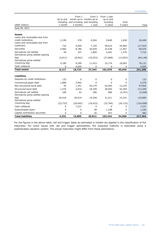|                                                       | Up to and<br>including | From 1    | From 3<br>month up to months up to<br>and including and including | From 1 year<br>up to and<br>including | Over      |            |
|-------------------------------------------------------|------------------------|-----------|-------------------------------------------------------------------|---------------------------------------|-----------|------------|
| (NOK million)                                         | 1 month                | 3 months  | 1 year                                                            | 5 years                               | 5 years   | Total      |
| June 30, 2011                                         |                        |           |                                                                   |                                       |           |            |
|                                                       |                        |           |                                                                   |                                       |           |            |
| <b>Assets</b>                                         |                        |           |                                                                   |                                       |           |            |
| Loans and receivables due from<br>credit institutions |                        |           |                                                                   |                                       |           |            |
| Loans and receivables due from                        | 2,199                  | 378       | 6,204                                                             | 9,840                                 | 1,838     | 20,458     |
| customers                                             | 732                    | 5,049     | 7,159                                                             | 59,015                                | 45,964    | 117,919    |
| Securities                                            | 4,960                  | 8,786     | 20,929                                                            | 22,538                                | 11,857    | 69,070     |
| Derivatives net settled                               | 49                     | 107       | 1,890                                                             | 4,401                                 | 1,276     | 7,722      |
| Derivatives gross settled (paying                     |                        |           |                                                                   |                                       |           |            |
| leg)                                                  | (4,011)                | (8,942)   | (10, 253)                                                         | (27, 889)                             | (13,053)  | (64, 149)  |
| Derivatives gross settled                             |                        |           |                                                                   |                                       |           |            |
| (receiving leg)                                       | 4,189                  | 9,290     | 11,415                                                            | 33,174                                | 18,063    | 76,131     |
| Cash collateral                                       | 0                      | 4,055     | 0                                                                 | 0                                     | 0         | 4,055      |
| <b>Total assets</b>                                   | 8,117                  | 18,724    | 37,344                                                            | 101,078                               | 65,945    | 231,208    |
|                                                       |                        |           |                                                                   |                                       |           |            |
| <b>Liabilities</b>                                    |                        |           |                                                                   |                                       |           |            |
| Deposits by credit institutions                       | 133                    | 0         | 0                                                                 | 0                                     | 0         | 133        |
| Commercial paper debt                                 | 1,886                  | 3,492     | 0                                                                 | 0                                     | 0         | 5,378      |
| Non-structured bond debt                              | 45                     | 1,341     | 20,179                                                            | 62,945                                | 13,155    | 97,665     |
| Structured bond debt                                  | 1,476                  | 3,010     | 18,338                                                            | 38,092                                | 52,294    | 113,209    |
| Derivatives net settled                               | 108                    | 42        | 296                                                               | 986                                   | (4,701)   | (3,268)    |
| Derivatives gross settled (paying                     |                        |           |                                                                   |                                       |           |            |
| leq)                                                  | 24,416                 | 30,419    | 19,348                                                            | 31,511                                | 14,191    | 119,885    |
| Derivatives gross settled                             |                        |           |                                                                   |                                       |           |            |
| (receiving leg)                                       | (23, 733)              | (29, 645) | (18, 423)                                                         | (32, 764)                             | (20, 133) | (124, 698) |
| Cash collateral                                       | 0                      | 7,231     | 0                                                                 | 0                                     | 0         | 7,231      |
| Subordinated loans                                    | 0                      | 0         | 48                                                                | 1,198                                 | 0         | 1,246      |
| Capital contribution securities                       | 0                      | 0         | 26                                                                | 457                                   | 0         | 482        |
| <b>Total liabilities</b>                              | 4,332                  | 15,890    | 39,812                                                            | 102,424                               | 54,806    | 217,264    |

For the figures in the above table, call and trigger dates as estimated in models are applied in the classification of the maturities. For some issues with call and trigger optionalities, the expected maturity is estimated using a sophisticated valuation system. The actual maturities might differ from these estimations.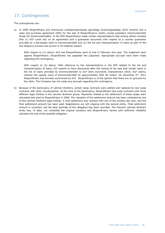## 17. Contingencies

The contingencies are:

a) In 2009 Eksportfinans and Kommunal Landspensjonskasse gjensidige forsikringsselskap (KLP) entered into a sales and purchase agreement (SPA) for the sale of Eksportfinans's wholly owned subsidiary Kommunekreditt Norge AS (Kommunekreditt). In the SPA Eksportfinans made certain representations that among others included that (1) KLP could rely on an agreement and a guarantee document with respect to a counter guarantee provided by a Norwegian bank to Kommunekreditt and (2) the list and characterization of loans as part of the due diligence process was correct in all material respect.

With respect to (1) above: KLP and Eksportfinans went to trial in February this year. The Judgment went against Eksportfinans. Eksportfinans has appealed the judgment. Appropriate accruals have been made regarding this contingency.

With respect to (2) above: With reference to the representations in the SPA related to the list and characterization of loans, KLP asserts to have discovered after the closing of the sale that certain loans in the list of loans provided by Kommunekreditt to KLP were incorrectly characterized which, KLP claims, reduces the agreed value of Kommunekreditt by approximately NOK 48 million. On December 6<sup>th</sup>, 2011 Eksportfinans was formally summoned by KLP. Eksportfinans is of the opinion that there are no grounds for the claim. The Company has not made any accruals regarding this contingency.

b) Because of the bankruptcy of Lehman Brothers, certain swap contracts were settled and replaced by new swap contracts with other counterparties. At the time of the bankruptcy, Eksportfinans had swap contracts with three different legal entities in the Lehman Brothers group. Payments related to the settlement of these swaps were calculated and paid by Eksportfinans in 2008. The valuation of the settlement amount has been contested by two of the Lehman Brothers legal entities. A final settlement was reached with one of the entities last year, and the final settlement amount has been paid. Negotiations are still ongoing with the second entity. Final settlement amount is uncertain, but the best estimate of the obligation has been recorded. The relevant Lehman Brothers entity has, to date, not contested the original valuation and Eksportfinans cannot with sufficient reliability calculate the size of the possible obligation.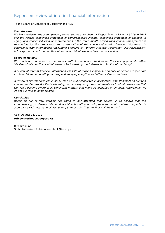#### Report on review of interim financial information

To the Board of Directors of Eksportfinans ASA

#### *Introduction*

*We have reviewed the accompanying condensed balance sheet of Eksportfinans ASA as of 30 June 2012 and the related condensed statement of comprehensive income, condensed statement of changes in equity and condensed cash flow statement for the three-month period then ended. Management is responsible for the preparation and presentation of this condensed interim financial information in accordance with International Accounting Standard 34 "Interim Financial Reporting". Our responsibility is to express a conclusion on this interim financial information based on our review.*

#### *Scope of Review*

*We conducted our review in accordance with International Standard on Review Engagements 2410, "Review of Interim Financial Information Performed by the Independent Auditor of the Entity".* 

*A review of interim financial information consists of making inquiries, primarily of persons responsible for financial and accounting matters, and applying analytical and other review procedures.* 

*A review is substantially less in scope than an audit conducted in accordance with standards on auditing adopted by Den Norske Revisorforening, and consequently does not enable us to obtain assurance that we would become aware of all significant matters that might be identified in an audit. Accordingly, we do not express an audit opinion.*

#### *Conclusion*

*Based on our review, nothing has come to our attention that causes us to believe that the accompanying condensed interim financial information is not prepared, in all material respects, in accordance with International Accounting Standard 34 "Interim Financial Reporting".*

Oslo, August 16, 2012 **PricewaterhouseCoopers AS**

Rita Granlund State Authorised Public Accountant (Norway)